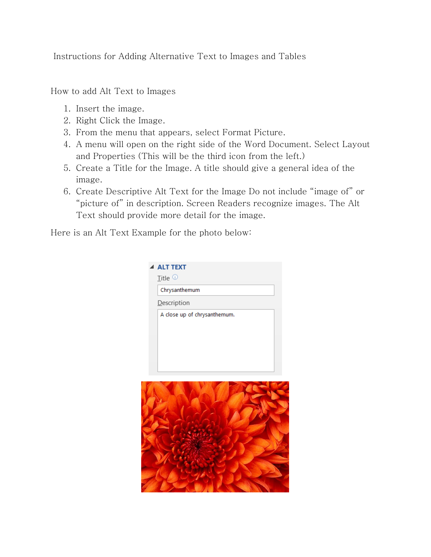Instructions for Adding Alternative Text to Images and Tables

How to add Alt Text to Images

- 1. Insert the image.
- 2. Right Click the Image.
- 3. From the menu that appears, select Format Picture.
- 4. A menu will open on the right side of the Word Document. Select Layout and Properties (This will be the third icon from the left.)
- 5. Create a Title for the Image. A title should give a general idea of the image.
- 6. Create Descriptive Alt Text for the Image Do not include "image of" or "picture of" in description. Screen Readers recognize images. The Alt Text should provide more detail for the image.

Here is an Alt Text Example for the photo below: